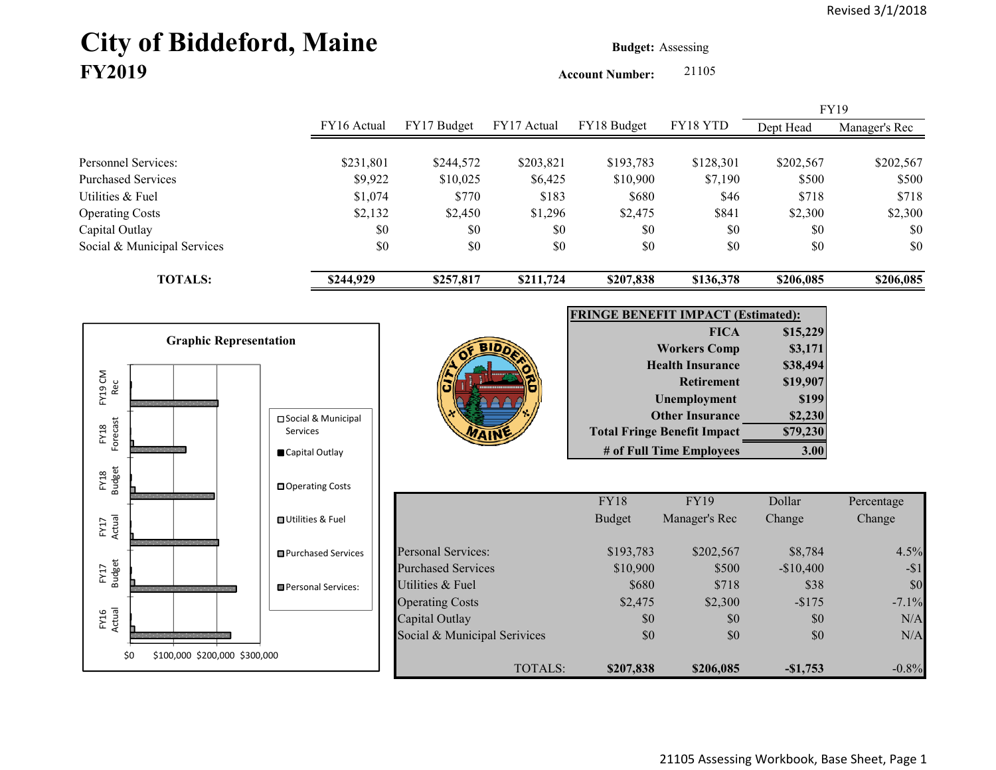# City of Biddeford, Maine **Budget:** Assessing **FY2019**

**Account Number:** 21105

|                             |             |             |             |             |           |           | <b>FY19</b>   |
|-----------------------------|-------------|-------------|-------------|-------------|-----------|-----------|---------------|
|                             | FY16 Actual | FY17 Budget | FY17 Actual | FY18 Budget | FY18 YTD  | Dept Head | Manager's Rec |
|                             |             |             |             |             |           |           |               |
| Personnel Services:         | \$231,801   | \$244,572   | \$203,821   | \$193,783   | \$128,301 | \$202,567 | \$202,567     |
| <b>Purchased Services</b>   | \$9,922     | \$10,025    | \$6,425     | \$10,900    | \$7,190   | \$500     | \$500         |
| Utilities & Fuel            | \$1,074     | \$770       | \$183       | \$680       | \$46      | \$718     | \$718         |
| <b>Operating Costs</b>      | \$2,132     | \$2,450     | \$1,296     | \$2,475     | \$841     | \$2,300   | \$2,300       |
| Capital Outlay              | \$0         | \$0         | \$0         | \$0         | \$0       | \$0       | \$0           |
| Social & Municipal Services | \$0         | \$0         | \$0         | \$0         | \$0       | \$0       | \$0           |
| <b>TOTALS:</b>              | \$244,929   | \$257,817   | \$211,724   | \$207,838   | \$136,378 | \$206,085 | \$206,085     |





| <b>FRINGE BENEFIT IMPACT (Estimated):</b> |          |
|-------------------------------------------|----------|
| <b>FICA</b>                               | \$15,229 |
| <b>Workers Comp</b>                       | \$3,171  |
| <b>Health Insurance</b>                   | \$38,494 |
| <b>Retirement</b>                         | \$19,907 |
| <b>Unemployment</b>                       | \$199    |
| <b>Other Insurance</b>                    | \$2,230  |
| <b>Total Fringe Benefit Impact</b>        | \$79,230 |
| # of Full Time Employees                  | 3.00     |

|                              | <b>FY18</b> | <b>FY19</b>   | Dollar     | Percentage |
|------------------------------|-------------|---------------|------------|------------|
|                              | Budget      | Manager's Rec | Change     | Change     |
| Personal Services:           | \$193,783   | \$202,567     | \$8,784    | $4.5\%$    |
| <b>Purchased Services</b>    | \$10,900    | \$500         | $-$10,400$ | $-11$      |
| Utilities & Fuel             | \$680       | \$718         | \$38       | \$0        |
| <b>Operating Costs</b>       | \$2,475     | \$2,300       | $-$ \$175  | $-7.1\%$   |
| Capital Outlay               | \$0         | \$0           | \$0        | N/A        |
| Social & Municipal Serivices | \$0         | \$0           | \$0        | N/A        |
| TOTALS:                      | \$207,838   | \$206,085     | $-\$1,753$ | $-0.8\%$   |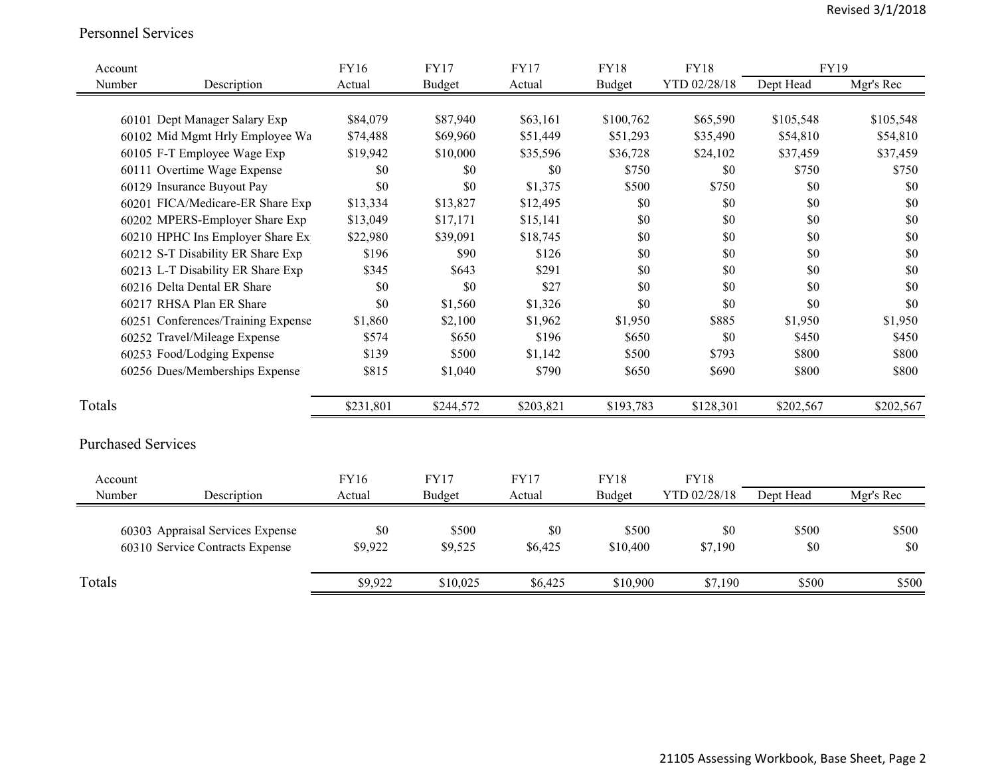#### Personnel Services

| Account |                                    | <b>FY16</b> | <b>FY17</b>   | <b>FY17</b> | <b>FY18</b>   | <b>FY18</b>  | FY19      |           |
|---------|------------------------------------|-------------|---------------|-------------|---------------|--------------|-----------|-----------|
| Number  | Description                        | Actual      | <b>Budget</b> | Actual      | <b>Budget</b> | YTD 02/28/18 | Dept Head | Mgr's Rec |
|         |                                    |             |               |             |               |              |           |           |
|         | 60101 Dept Manager Salary Exp      | \$84,079    | \$87,940      | \$63,161    | \$100,762     | \$65,590     | \$105,548 | \$105,548 |
|         | 60102 Mid Mgmt Hrly Employee Wa    | \$74,488    | \$69,960      | \$51,449    | \$51,293      | \$35,490     | \$54,810  | \$54,810  |
|         | 60105 F-T Employee Wage Exp        | \$19,942    | \$10,000      | \$35,596    | \$36,728      | \$24,102     | \$37,459  | \$37,459  |
|         | 60111 Overtime Wage Expense        | \$0         | \$0           | \$0         | \$750         | \$0          | \$750     | \$750     |
|         | 60129 Insurance Buyout Pay         | \$0         | \$0           | \$1,375     | \$500         | \$750        | \$0       | \$0       |
|         | 60201 FICA/Medicare-ER Share Exp   | \$13,334    | \$13,827      | \$12,495    | \$0           | \$0          | \$0       | \$0       |
|         | 60202 MPERS-Employer Share Exp     | \$13,049    | \$17,171      | \$15,141    | \$0           | \$0          | \$0       | \$0       |
|         | 60210 HPHC Ins Employer Share Ex   | \$22,980    | \$39,091      | \$18,745    | \$0           | \$0          | \$0       | \$0       |
|         | 60212 S-T Disability ER Share Exp  | \$196       | \$90          | \$126       | \$0           | \$0          | \$0       | \$0       |
|         | 60213 L-T Disability ER Share Exp  | \$345       | \$643         | \$291       | \$0           | \$0          | \$0       | \$0       |
|         | 60216 Delta Dental ER Share        | \$0         | \$0           | \$27        | \$0           | \$0          | \$0       | \$0       |
|         | 60217 RHSA Plan ER Share           | \$0         | \$1,560       | \$1,326     | \$0           | \$0          | \$0       | \$0       |
|         | 60251 Conferences/Training Expense | \$1,860     | \$2,100       | \$1,962     | \$1,950       | \$885        | \$1,950   | \$1,950   |
|         | 60252 Travel/Mileage Expense       | \$574       | \$650         | \$196       | \$650         | \$0          | \$450     | \$450     |
|         | 60253 Food/Lodging Expense         | \$139       | \$500         | \$1,142     | \$500         | \$793        | \$800     | \$800     |
|         | 60256 Dues/Memberships Expense     | \$815       | \$1,040       | \$790       | \$650         | \$690        | \$800     | \$800     |
| Totals  |                                    | \$231,801   | \$244,572     | \$203,821   | \$193,783     | \$128,301    | \$202,567 | \$202,567 |
|         | <b>Purchased Services</b>          |             |               |             |               |              |           |           |
| Account |                                    | <b>FY16</b> | <b>FY17</b>   | <b>FY17</b> | <b>FY18</b>   | <b>FY18</b>  |           |           |
| Number  | Description                        | Actual      | <b>Budget</b> | Actual      | <b>Budget</b> | YTD 02/28/18 | Dept Head | Mgr's Rec |
|         | 60303 Appraisal Services Expense   | \$0         | \$500         | \$0         | \$500         | \$0          | \$500     | \$500     |
|         | 60310 Service Contracts Expense    | \$9,922     | \$9,525       | \$6,425     | \$10,400      | \$7,190      | \$0       | \$0       |
| Totals  |                                    | \$9,922     | \$10,025      | \$6,425     | \$10,900      | \$7,190      | \$500     | \$500     |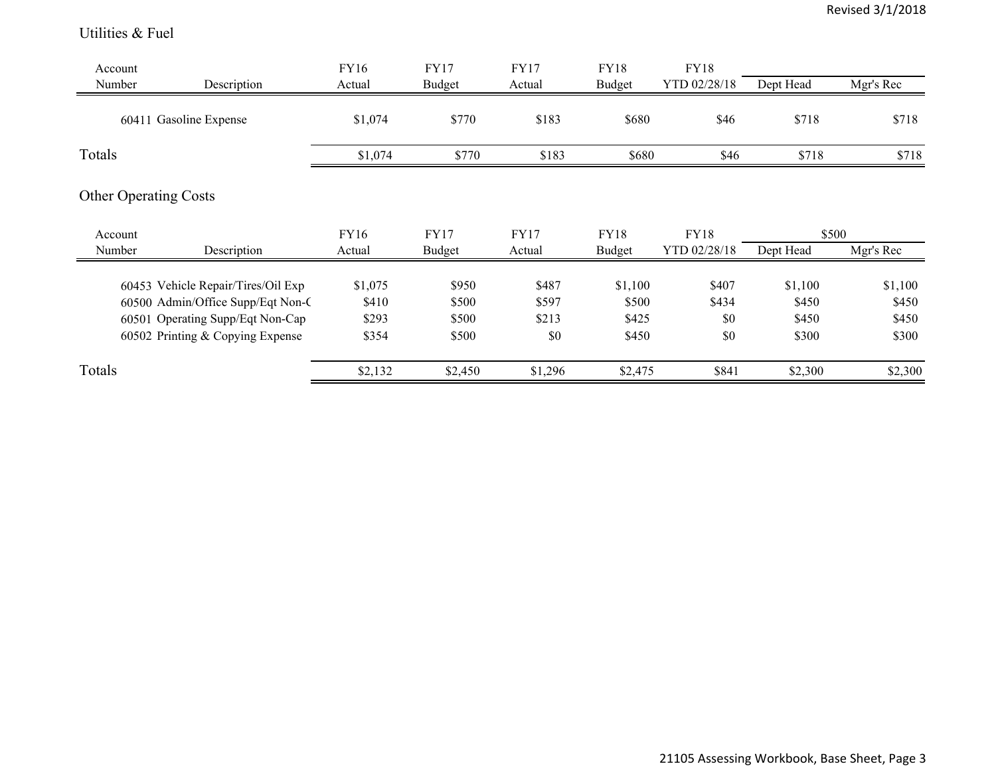#### Utilities & Fuel

| Account |                                                                                                                                                 | FY16                               | <b>FY17</b>                      | <b>FY17</b>                    | <b>FY18</b>                        | <b>FY18</b>                  |                                    |                                    |
|---------|-------------------------------------------------------------------------------------------------------------------------------------------------|------------------------------------|----------------------------------|--------------------------------|------------------------------------|------------------------------|------------------------------------|------------------------------------|
| Number  | Description                                                                                                                                     | Actual                             | Budget                           | Actual                         | Budget                             | YTD 02/28/18                 | Dept Head                          | Mgr's Rec                          |
|         | 60411 Gasoline Expense                                                                                                                          | \$1,074                            | \$770                            | \$183                          | \$680                              | \$46                         | \$718                              | \$718                              |
| Totals  |                                                                                                                                                 | \$1,074                            | \$770                            | \$183                          | \$680                              | \$46                         | \$718                              | \$718                              |
|         | <b>Other Operating Costs</b>                                                                                                                    |                                    |                                  |                                |                                    |                              |                                    |                                    |
| Account |                                                                                                                                                 | <b>FY16</b>                        | <b>FY17</b>                      | <b>FY17</b>                    | <b>FY18</b>                        | <b>FY18</b>                  | \$500                              |                                    |
| Number  | Description                                                                                                                                     | Actual                             | Budget                           | Actual                         | <b>Budget</b>                      | YTD 02/28/18                 | Dept Head                          | Mgr's Rec                          |
|         | 60453 Vehicle Repair/Tires/Oil Exp<br>60500 Admin/Office Supp/Eqt Non-C<br>60501 Operating Supp/Eqt Non-Cap<br>60502 Printing & Copying Expense | \$1,075<br>\$410<br>\$293<br>\$354 | \$950<br>\$500<br>\$500<br>\$500 | \$487<br>\$597<br>\$213<br>\$0 | \$1,100<br>\$500<br>\$425<br>\$450 | \$407<br>\$434<br>\$0<br>\$0 | \$1,100<br>\$450<br>\$450<br>\$300 | \$1,100<br>\$450<br>\$450<br>\$300 |
| Totals  |                                                                                                                                                 | \$2,132                            | \$2,450                          | \$1,296                        | \$2,475                            | \$841                        | \$2,300                            | \$2,300                            |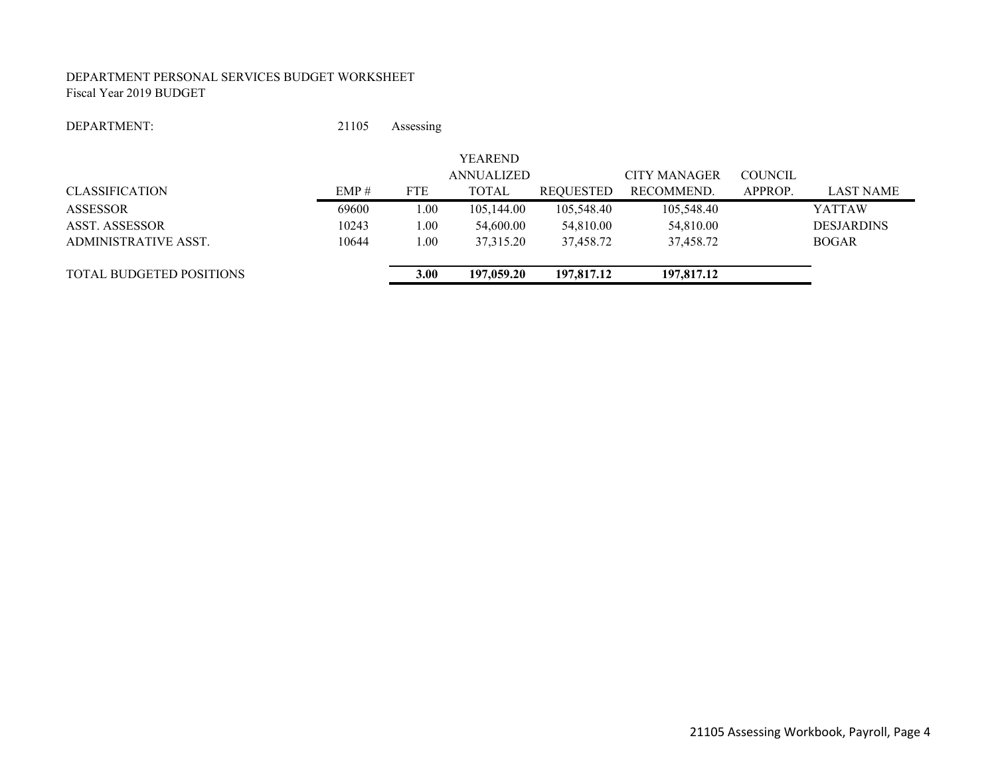#### DEPARTMENT PERSONAL SERVICES BUDGET WORKSHEET Fiscal Year 2019 BUDGET

DEPARTMENT:21105 Assessing

|                                 |       |            | <b>YEAREND</b> |            |                     |                |                   |
|---------------------------------|-------|------------|----------------|------------|---------------------|----------------|-------------------|
|                                 |       |            | ANNUALIZED     |            | <b>CITY MANAGER</b> | <b>COUNCIL</b> |                   |
| <b>CLASSIFICATION</b>           | EMP#  | <b>FTE</b> | <b>TOTAL</b>   | REQUESTED  | RECOMMEND.          | APPROP.        | <b>LAST NAME</b>  |
| ASSESSOR                        | 69600 | 1.00       | 105,144.00     | 105,548.40 | 105,548.40          |                | <b>YATTAW</b>     |
| ASST. ASSESSOR                  | 10243 | 1.00       | 54,600.00      | 54,810.00  | 54,810.00           |                | <b>DESJARDINS</b> |
| ADMINISTRATIVE ASST.            | 10644 | 1.00       | 37,315.20      | 37.458.72  | 37,458.72           |                | <b>BOGAR</b>      |
| <b>TOTAL BUDGETED POSITIONS</b> |       | 3.00       | 197,059.20     | 197,817.12 | 197,817.12          |                |                   |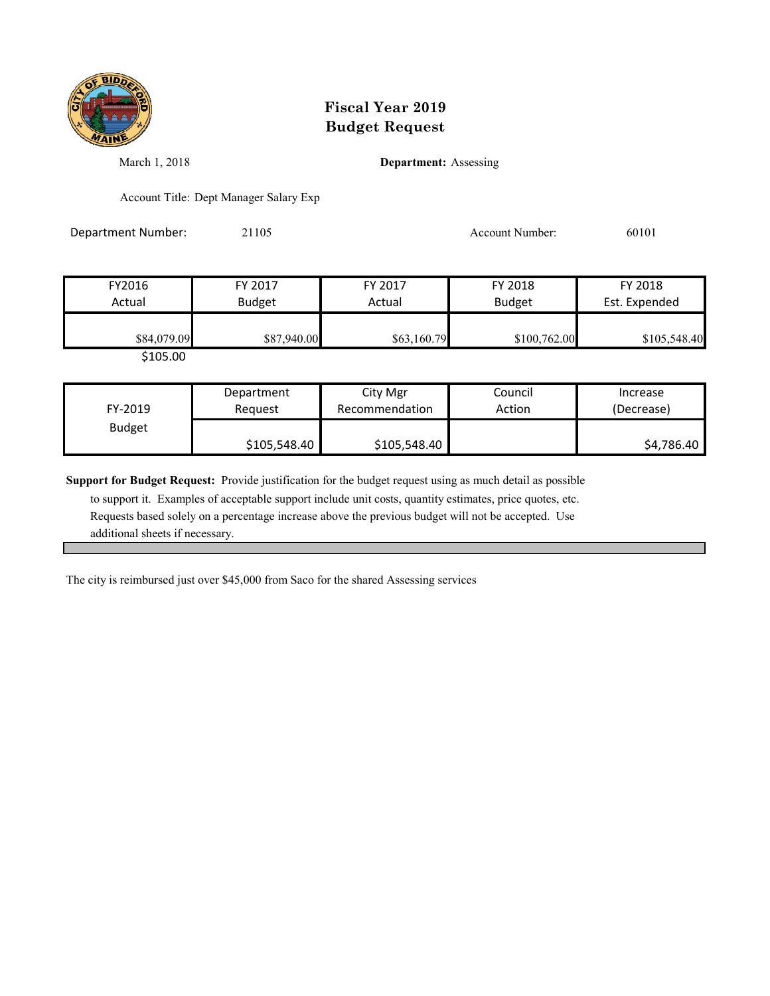

March 1, 2018 **Department:** Assessing

Account Title: Dept Manager Salary Exp

Department Number: 21105 21105 Account Number: 60101

| FY2016<br>Actual | FY 2017<br><b>Budget</b> | FY 2017<br>Actual | FY 2018<br><b>Budget</b> | FY 2018<br>Est. Expended |
|------------------|--------------------------|-------------------|--------------------------|--------------------------|
| \$84,079.09      | \$87,940.00              | \$63,160.79       | \$100,762.00             | \$105,548.40             |
| 0.000            |                          |                   |                          |                          |

\$105.00

| FY-2019       | Department   | City Mgr       | Council | Increase   |
|---------------|--------------|----------------|---------|------------|
|               | Reauest      | Recommendation | Action  | (Decrease) |
| <b>Budget</b> | \$105,548.40 | \$105,548.40   |         | \$4,786.40 |

**Support for Budget Request:** Provide justification for the budget request using as much detail as possible

 to support it. Examples of acceptable support include unit costs, quantity estimates, price quotes, etc. Requests based solely on a percentage increase above the previous budget will not be accepted. Use additional sheets if necessary.

The city is reimbursed just over \$45,000 from Saco for the shared Assessing services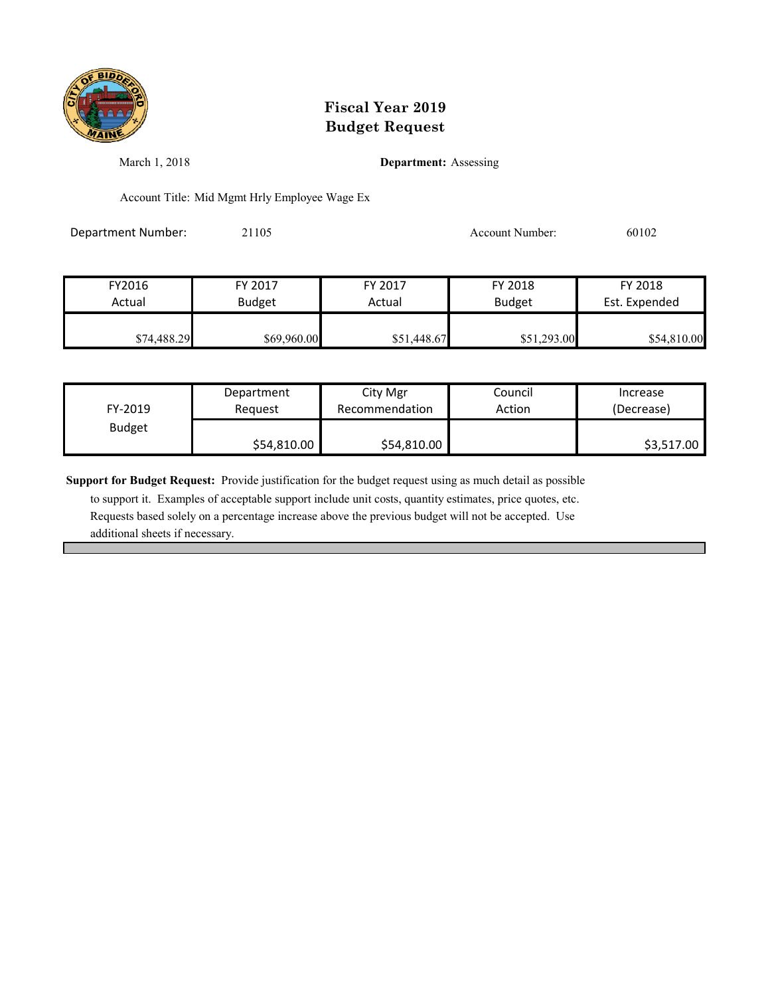

March 1, 2018 **Department:** Assessing

Account Title: Mid Mgmt Hrly Employee Wage Ex

Department Number: 21105 20102 Account Number: 60102

| FY2016      | FY 2017       | FY 2017     | FY 2018       | FY 2018       |
|-------------|---------------|-------------|---------------|---------------|
| Actual      | <b>Budget</b> | Actual      | <b>Budget</b> | Est. Expended |
|             |               |             |               |               |
| \$74,488.29 | \$69,960.00   | \$51,448.67 | \$51,293.00   | \$54,810.00   |

| FY-2019       | Department  | City Mgr       | Council | Increase   |
|---------------|-------------|----------------|---------|------------|
|               | Reauest     | Recommendation | Action  | (Decrease) |
| <b>Budget</b> | \$54,810.00 | \$54,810.00    |         | \$3,517.00 |

**Support for Budget Request:** Provide justification for the budget request using as much detail as possible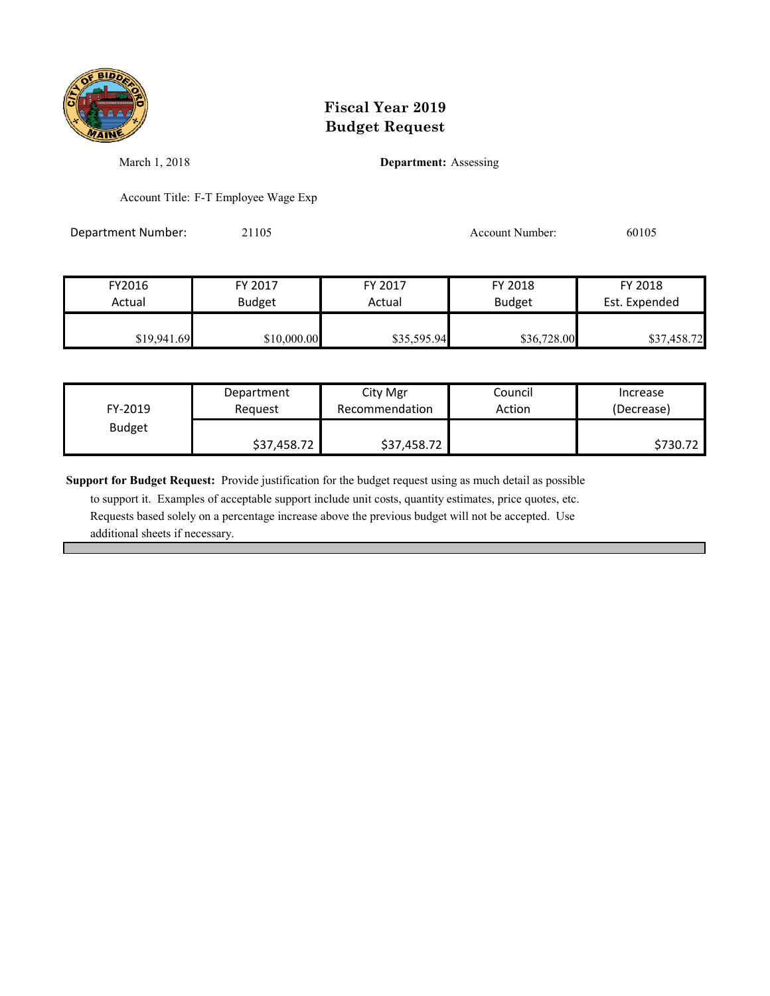

March 1, 2018 **Department:** Assessing

Account Title: F-T Employee Wage Exp

Department Number: 21105 Account Number: 60105

FY2016 FY 2017 FY 2017 FY 2018 FY 2018 Actual Budget | Actual Budget Est. Expended \$19,941.69 \$10,000.00 \$35,595.94 \$36,728.00 \$37,458.72

| FY-2019       | Department  | City Mgr       | Council | Increase   |
|---------------|-------------|----------------|---------|------------|
|               | Reauest     | Recommendation | Action  | (Decrease) |
| <b>Budget</b> | \$37,458.72 | \$37,458.72    |         | \$730.72   |

**Support for Budget Request:** Provide justification for the budget request using as much detail as possible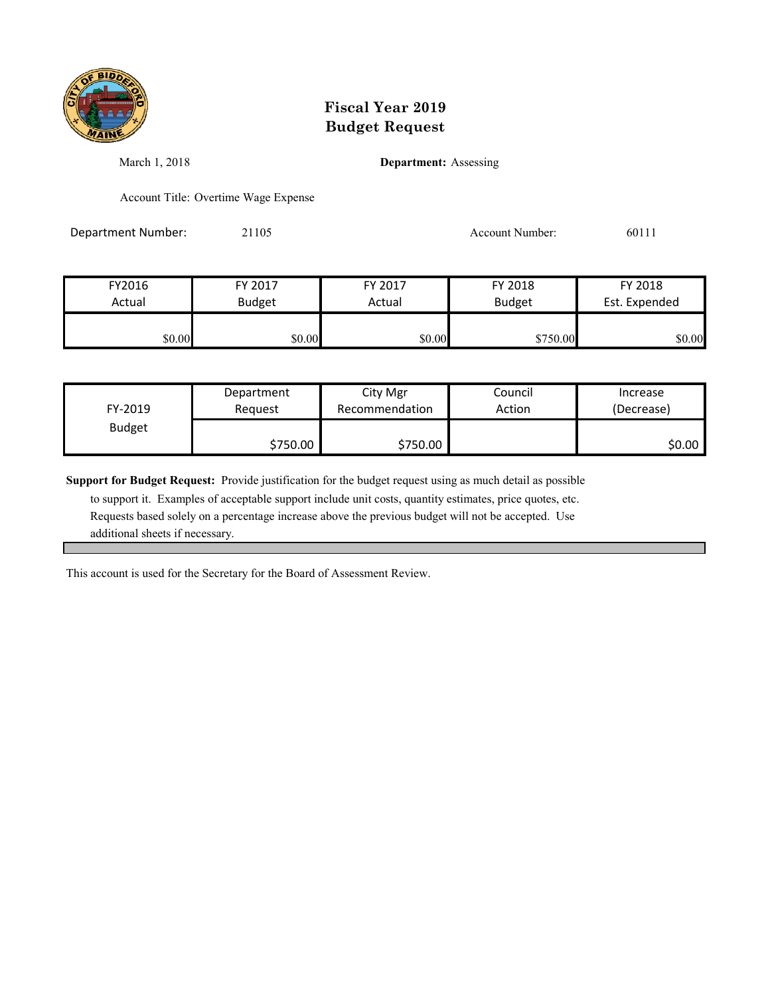

March 1, 2018 **Department:** Assessing

Account Title: Overtime Wage Expense

Department Number: 21105 21105 Account Number: 60111

| FY2016 | FY 2017       | FY 2017 | FY 2018       | FY 2018       |
|--------|---------------|---------|---------------|---------------|
| Actual | <b>Budget</b> | Actual  | <b>Budget</b> | Est. Expended |
|        |               |         |               |               |
| \$0.00 | \$0.00        | \$0.00  | \$750.00      | \$0.00        |

| FY-2019       | Department | City Mgr       | Council | Increase   |
|---------------|------------|----------------|---------|------------|
|               | Reauest    | Recommendation | Action  | (Decrease) |
| <b>Budget</b> | \$750.00   | \$750.00       |         | \$0.00     |

**Support for Budget Request:** Provide justification for the budget request using as much detail as possible

 to support it. Examples of acceptable support include unit costs, quantity estimates, price quotes, etc. Requests based solely on a percentage increase above the previous budget will not be accepted. Use additional sheets if necessary.

This account is used for the Secretary for the Board of Assessment Review.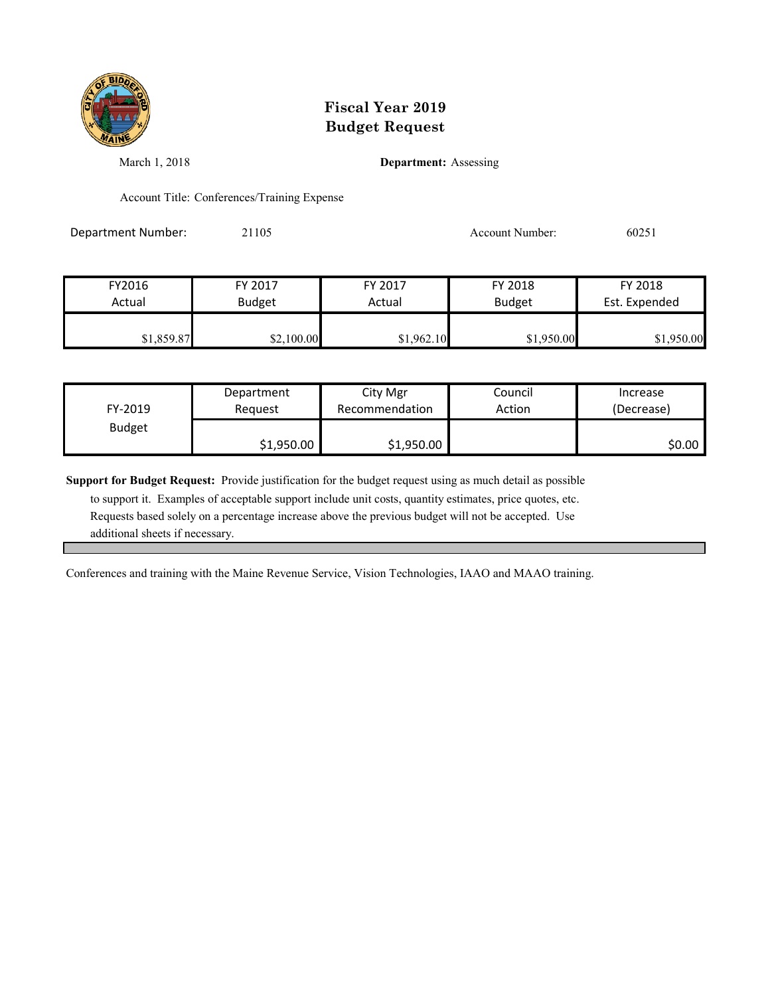

March 1, 2018 **Department:** Assessing

Account Title: Conferences/Training Expense

Department Number: 21105 21105 Account Number: 60251

| FY2016     | FY 2017       | FY 2017    | FY 2018       | FY 2018       |
|------------|---------------|------------|---------------|---------------|
| Actual     | <b>Budget</b> | Actual     | <b>Budget</b> | Est. Expended |
| \$1,859.87 | \$2,100.00    | \$1,962.10 | \$1,950.00    | \$1,950.00    |

| FY-2019       | Department | City Mgr       | Council | Increase   |
|---------------|------------|----------------|---------|------------|
|               | Reauest    | Recommendation | Action  | (Decrease) |
| <b>Budget</b> | \$1,950.00 | \$1,950.00     |         | \$0.00     |

**Support for Budget Request:** Provide justification for the budget request using as much detail as possible

 to support it. Examples of acceptable support include unit costs, quantity estimates, price quotes, etc. Requests based solely on a percentage increase above the previous budget will not be accepted. Use additional sheets if necessary.

Conferences and training with the Maine Revenue Service, Vision Technologies, IAAO and MAAO training.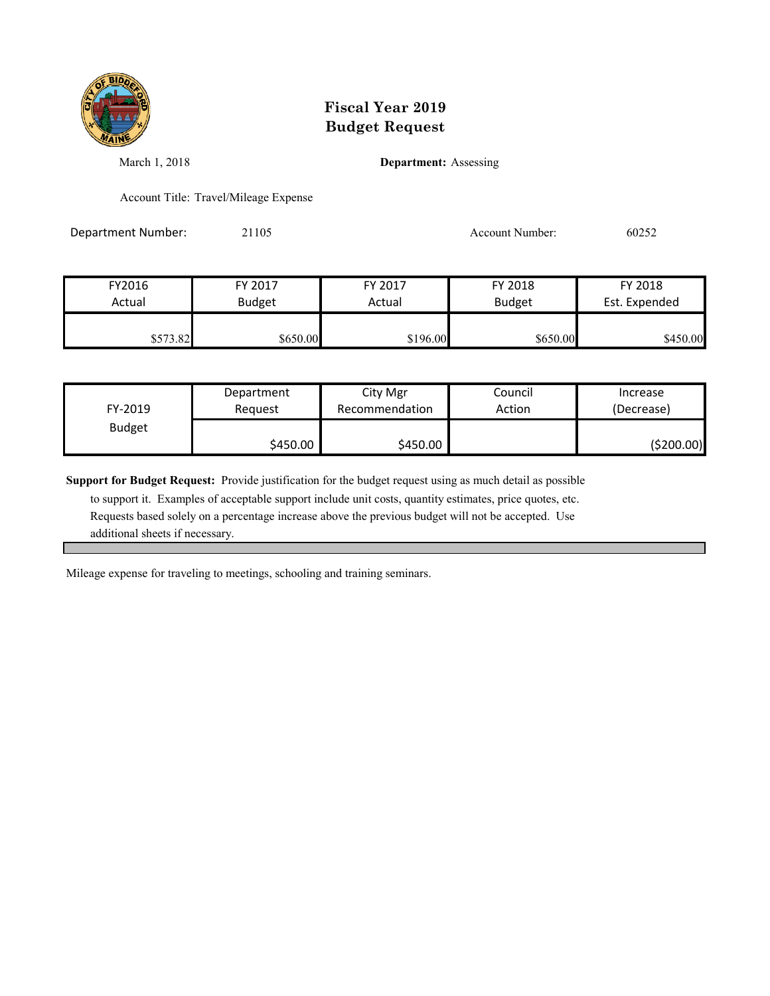

March 1, 2018 **Department:** Assessing

Account Title: Travel/Mileage Expense

Department Number: 21105 Account Number: 60252

FY2016 FY 2017 FY 2017 FY 2018 FY 2018 Actual Budget **Actual Budget** Actual Budget Est. Expended \$573.82 \$650.00 \$650.00 \$196.00 \$650.00 \$450.00

| FY-2019       | Department | City Mgr       | Council | Increase   |
|---------------|------------|----------------|---------|------------|
|               | Request    | Recommendation | Action  | (Decrease) |
| <b>Budget</b> | \$450.00   | \$450.00       |         | (\$200.00) |

**Support for Budget Request:** Provide justification for the budget request using as much detail as possible

 to support it. Examples of acceptable support include unit costs, quantity estimates, price quotes, etc. Requests based solely on a percentage increase above the previous budget will not be accepted. Use additional sheets if necessary.

Mileage expense for traveling to meetings, schooling and training seminars.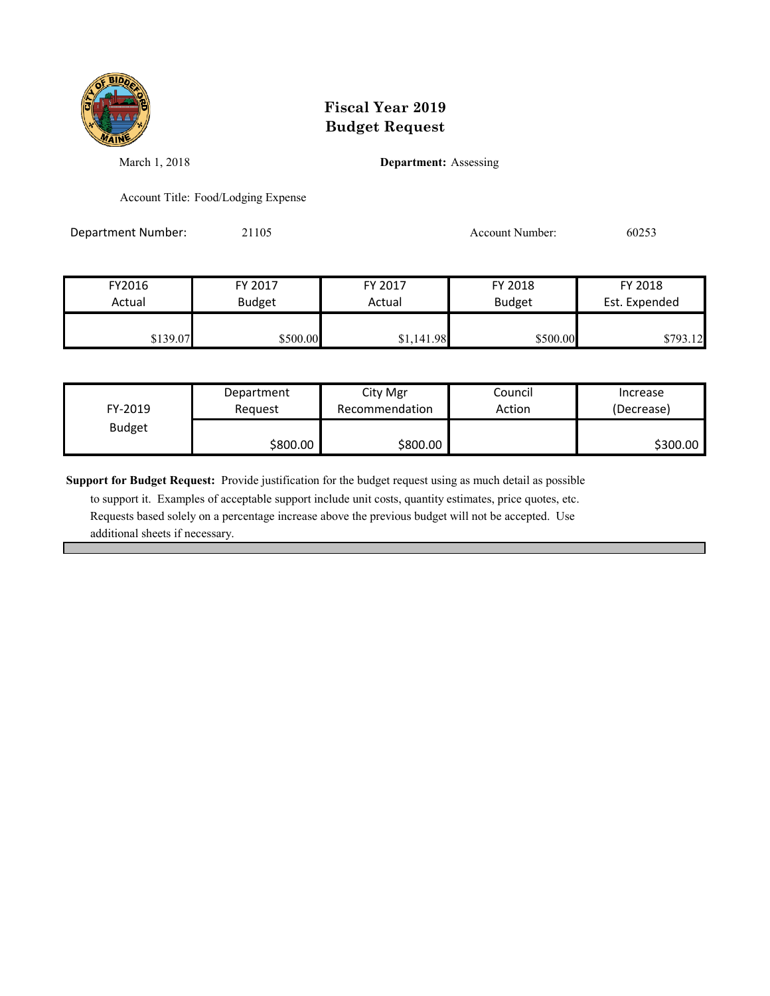

March 1, 2018 **Department:** Assessing

Account Title: Food/Lodging Expense

Department Number: 21105 20253 Account Number: 60253

| FY2016   | FY 2017       | FY 2017    | FY 2018       | FY 2018       |
|----------|---------------|------------|---------------|---------------|
| Actual   | <b>Budget</b> | Actual     | <b>Budget</b> | Est. Expended |
| \$139.07 | \$500.00      | \$1,141.98 | \$500.00      | \$793.12      |

| FY-2019       | Department | City Mgr       | Council | Increase   |
|---------------|------------|----------------|---------|------------|
|               | Reauest    | Recommendation | Action  | (Decrease) |
| <b>Budget</b> | \$800.00   | \$800.00       |         | \$300.00   |

**Support for Budget Request:** Provide justification for the budget request using as much detail as possible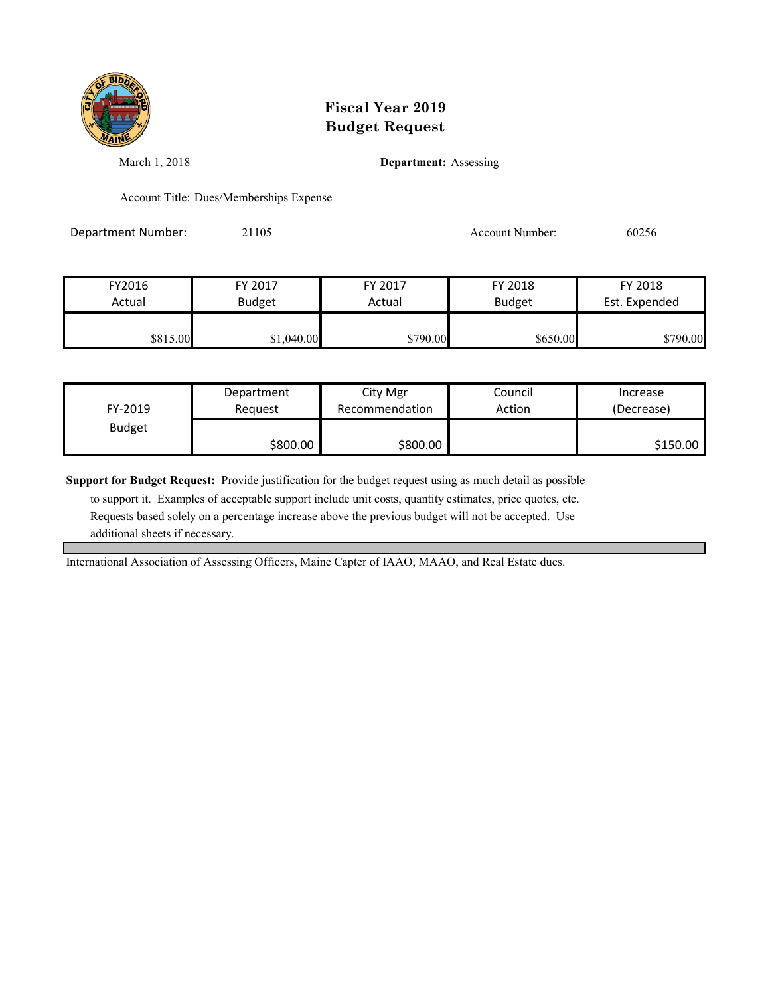

March 1, 2018 **Department:** Assessing

Account Title: Dues/Memberships Expense

Department Number: 21105 Account Number: 60256

FY2016 FY 2017 FY 2017 FY 2018 FY 2018 Actual Budget **Actual Budget** Actual Budget Est. Expended  $$1,040.00$  \$1,040.00 \$790.00 \$650.00 \$790.00

| FY-2019       | Department | City Mgr       | Council | Increase   |
|---------------|------------|----------------|---------|------------|
|               | Reauest    | Recommendation | Action  | (Decrease) |
| <b>Budget</b> | \$800.00   | \$800.00       |         | \$150.00   |

**Support for Budget Request:** Provide justification for the budget request using as much detail as possible

 to support it. Examples of acceptable support include unit costs, quantity estimates, price quotes, etc. Requests based solely on a percentage increase above the previous budget will not be accepted. Use additional sheets if necessary.

International Association of Assessing Officers, Maine Capter of IAAO, MAAO, and Real Estate dues.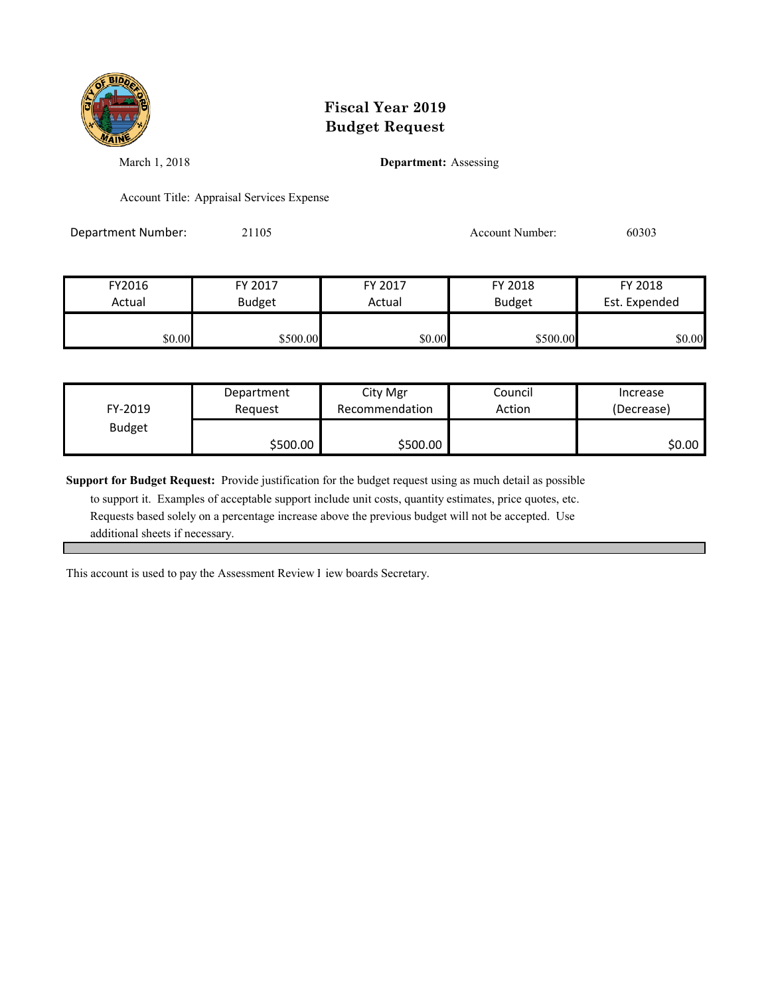

March 1, 2018 **Department:** Assessing

Account Title: Appraisal Services Expense

Department Number: 21105 21105 Account Number: 60303

| FY2016 | FY 2017       | FY 2017 | FY 2018       | FY 2018       |
|--------|---------------|---------|---------------|---------------|
| Actual | <b>Budget</b> | Actual  | <b>Budget</b> | Est. Expended |
|        |               |         |               |               |
| \$0.00 | \$500.00      | \$0.00  | \$500.00      | \$0.00        |

| FY-2019       | Department | City Mgr       | Council | Increase   |
|---------------|------------|----------------|---------|------------|
|               | Reauest    | Recommendation | Action  | (Decrease) |
| <b>Budget</b> | \$500.00   | \$500.00       |         | \$0.00     |

**Support for Budget Request:** Provide justification for the budget request using as much detail as possible

 to support it. Examples of acceptable support include unit costs, quantity estimates, price quotes, etc. Requests based solely on a percentage increase above the previous budget will not be accepted. Use additional sheets if necessary.

This account is used to pay the Assessment Review I iew boards Secretary.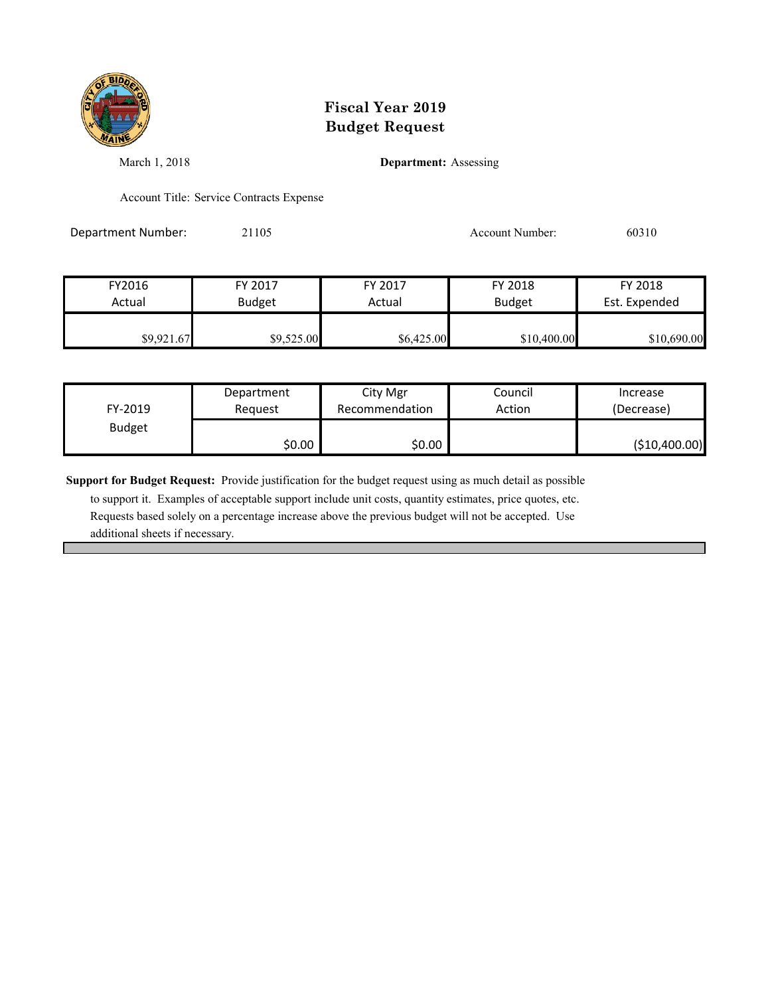

March 1, 2018 **Department:** Assessing

Account Title: Service Contracts Expense

Department Number: 21105 21105 Account Number: 60310

| FY2016     | FY 2017       | FY 2017    | FY 2018       | FY 2018       |
|------------|---------------|------------|---------------|---------------|
| Actual     | <b>Budget</b> | Actual     | <b>Budget</b> | Est. Expended |
| \$9,921.67 | \$9,525.00    | \$6,425.00 | \$10,400.00   | \$10,690.00   |

| FY-2019       | Department | City Mgr       | Council | Increase      |
|---------------|------------|----------------|---------|---------------|
|               | Reauest    | Recommendation | Action  | (Decrease)    |
| <b>Budget</b> | \$0.00     | \$0.00         |         | (\$10,400.00) |

**Support for Budget Request:** Provide justification for the budget request using as much detail as possible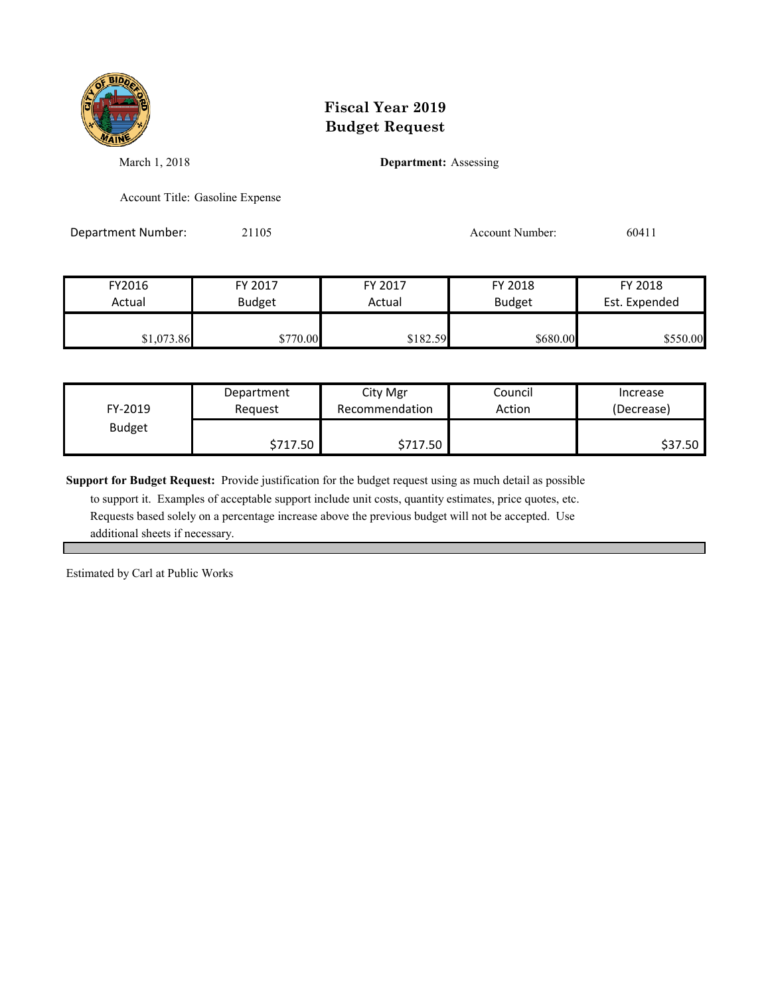

March 1, 2018 **Department:** Assessing

Account Title: Gasoline Expense

Department Number: 21105 21105 Account Number: 60411

| FY2016     | FY 2017       | FY 2017  | FY 2018       | FY 2018       |
|------------|---------------|----------|---------------|---------------|
| Actual     | <b>Budget</b> | Actual   | <b>Budget</b> | Est. Expended |
|            |               |          |               |               |
| \$1,073.86 | \$770.00      | \$182.59 | \$680.00      | \$550.00      |

| FY-2019       | Department | City Mgr       | Council | Increase   |
|---------------|------------|----------------|---------|------------|
|               | Reauest    | Recommendation | Action  | (Decrease) |
| <b>Budget</b> | \$717.50   | \$717.50       |         | \$37.50    |

**Support for Budget Request:** Provide justification for the budget request using as much detail as possible

 to support it. Examples of acceptable support include unit costs, quantity estimates, price quotes, etc. Requests based solely on a percentage increase above the previous budget will not be accepted. Use additional sheets if necessary.

Estimated by Carl at Public Works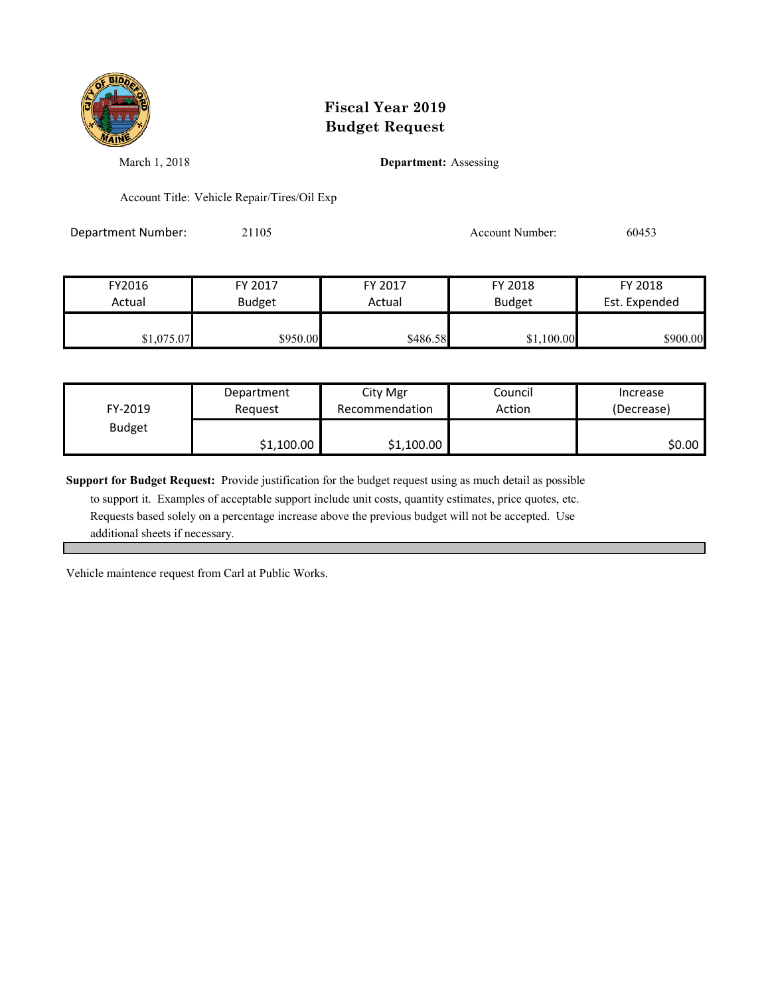

March 1, 2018 **Department:** Assessing

Account Title: Vehicle Repair/Tires/Oil Exp

Department Number: 21105 2006 2010 2010 Account Number: 60453

| FY2016     | FY 2017       | FY 2017  | FY 2018       | FY 2018       |
|------------|---------------|----------|---------------|---------------|
| Actual     | <b>Budget</b> | Actual   | <b>Budget</b> | Est. Expended |
| \$1,075.07 | \$950.00      | \$486.58 | \$1,100.00    | \$900.00      |

| FY-2019       | Department | City Mgr       | Council | Increase   |
|---------------|------------|----------------|---------|------------|
|               | Request    | Recommendation | Action  | (Decrease) |
| <b>Budget</b> | \$1,100.00 | \$1,100.00     |         | \$0.00     |

**Support for Budget Request:** Provide justification for the budget request using as much detail as possible

 to support it. Examples of acceptable support include unit costs, quantity estimates, price quotes, etc. Requests based solely on a percentage increase above the previous budget will not be accepted. Use additional sheets if necessary.

Vehicle maintence request from Carl at Public Works.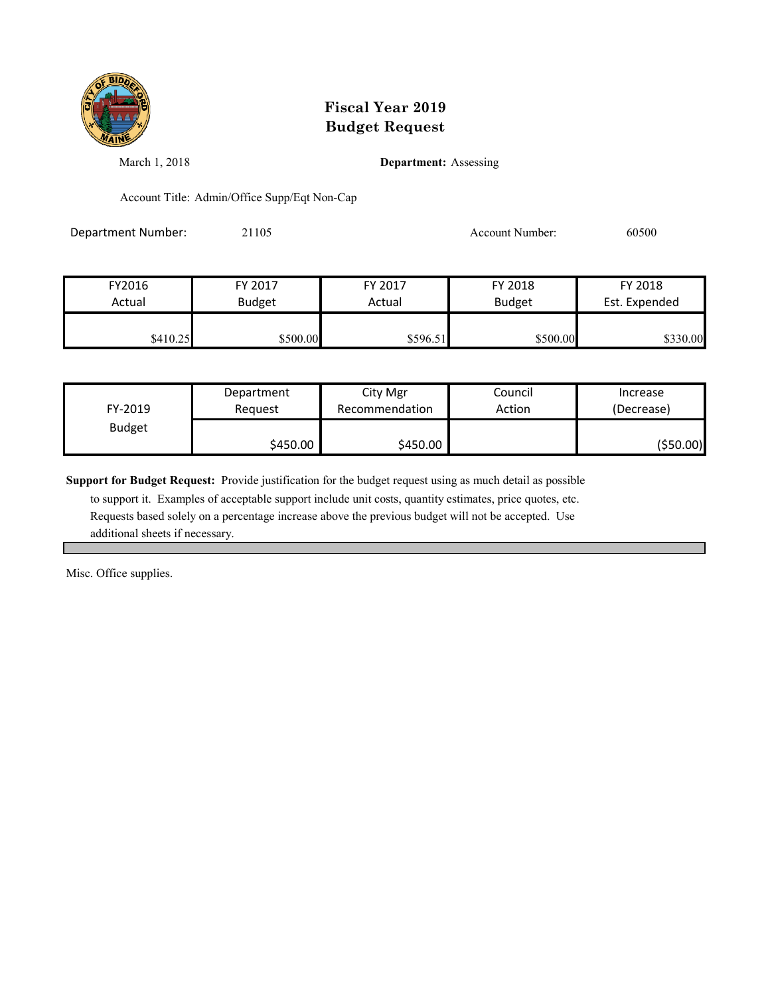

March 1, 2018 **Department:** Assessing

Account Title: Admin/Office Supp/Eqt Non-Cap

Department Number: 21105 21105 Account Number: 60500

| FY2016   | FY 2017       | FY 2017  | FY 2018       | FY 2018       |
|----------|---------------|----------|---------------|---------------|
| Actual   | <b>Budget</b> | Actual   | <b>Budget</b> | Est. Expended |
| \$410.25 | \$500.00      | \$596.51 | \$500.00      | \$330.00      |

| FY-2019       | Department | City Mgr       | Council | Increase   |
|---------------|------------|----------------|---------|------------|
|               | Reauest    | Recommendation | Action  | (Decrease) |
| <b>Budget</b> | \$450.00   | \$450.00       |         | (\$50.00)  |

**Support for Budget Request:** Provide justification for the budget request using as much detail as possible

 to support it. Examples of acceptable support include unit costs, quantity estimates, price quotes, etc. Requests based solely on a percentage increase above the previous budget will not be accepted. Use additional sheets if necessary.

Misc. Office supplies.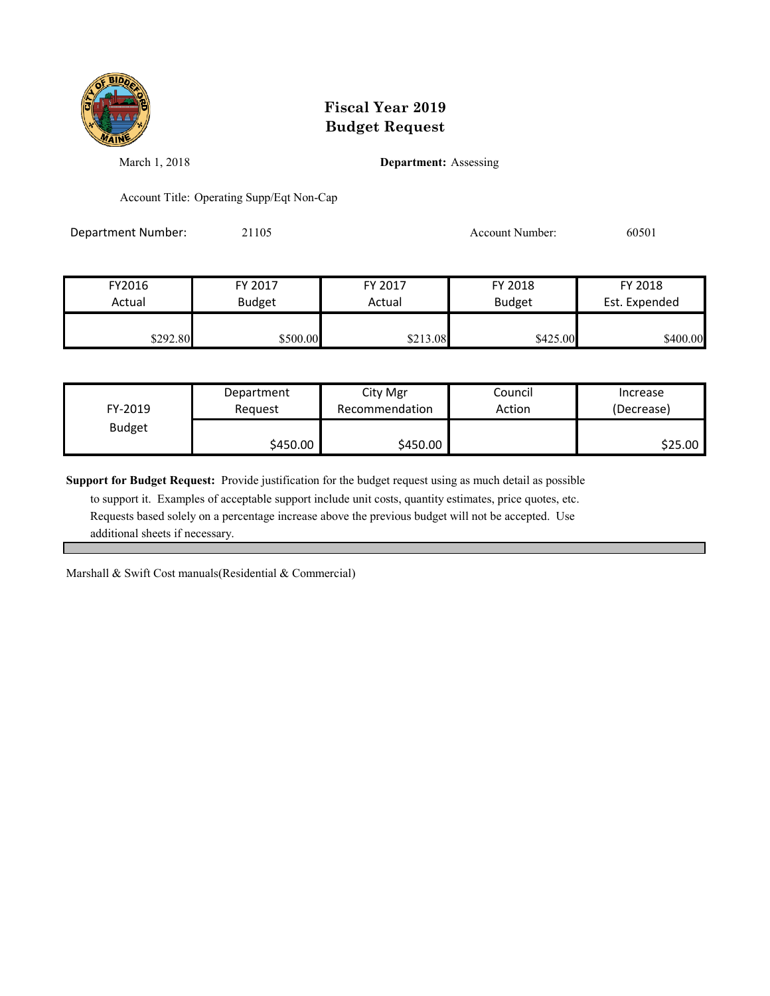

March 1, 2018 **Department:** Assessing

Account Title: Operating Supp/Eqt Non-Cap

Department Number: 21105 Account Number: 60501

FY2016 FY 2017 FY 2017 FY 2018 FY 2018 Actual Budget **Actual Budget** Actual Budget Est. Expended  $$292.80$   $$500.00$   $$213.08$   $$425.00$   $$400.00$ 

| FY-2019       | Department | City Mgr       | Council | Increase   |
|---------------|------------|----------------|---------|------------|
|               | Reauest    | Recommendation | Action  | (Decrease) |
| <b>Budget</b> | \$450.00   | \$450.00       |         | \$25.00    |

**Support for Budget Request:** Provide justification for the budget request using as much detail as possible

 to support it. Examples of acceptable support include unit costs, quantity estimates, price quotes, etc. Requests based solely on a percentage increase above the previous budget will not be accepted. Use additional sheets if necessary.

Marshall & Swift Cost manuals(Residential & Commercial)